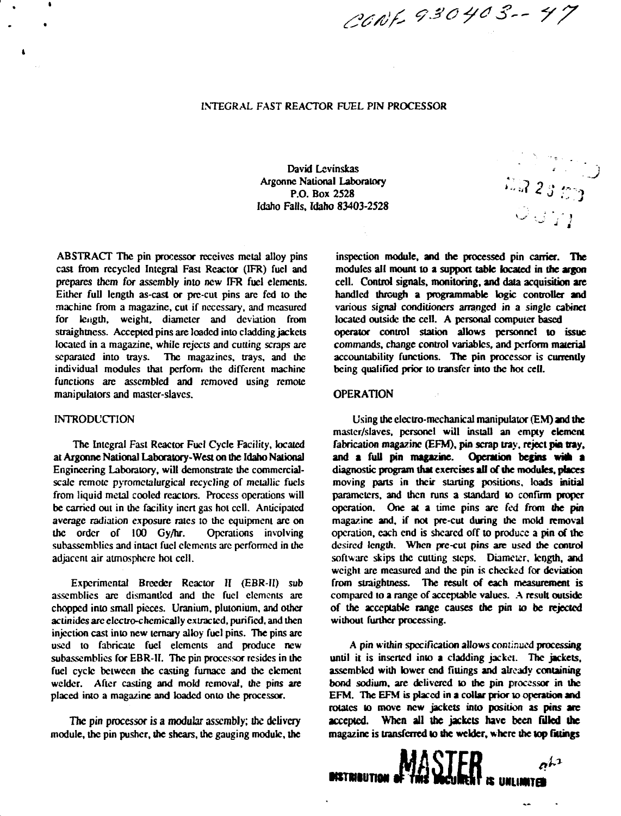# **INTEGRAL FAST REACTOR FUEL PIN PROCESSOR**

**David Lcvinskas Argonnc National Laboratory P.O. Box 2528 Idaho Falls. Idaho 83403-2528**

**ABSTRACT The pin processor receives metal alloy pins cast from recycled Integral Fast Reactor (IFR) fuel and prepares them for assembly into new IFR fuel elements. Either full length as-cast or prc-cut pins arc fed to the machine from a magazine, cut if necessary, and measured for length, weight, diameter and deviation from straightness. Accepted pins are loaded into cladding jackets located in a magazine, while rejects and cutting scraps are separated into trays. The magazines, trays, and ihc individual modules that perform the different machine functions arc assembled and removed using remote manipulators and master-slaves.**

## **INTRODUCTION**

 $\mathbf{r}$ 

**The Integral Fast Reactor Fuel Cycle Facility, located at Argonne National Laboratory-West on the Idaho National Engineering Laboratory, will demonstrate the commercialscale remote pyrometalurgical recycling of metallic fuels from liquid metal cooled reactors. Process operations will be carried out in the facility inert gas hot cell. Anticipated average radiation exposure rates to the equipment arc on the order of 100 Gy/hr. Operations involving subasscmblics and intact fuel elements arc performed in the adjacent air atmosphere hot cell.**

Experimental Breeder Reactor II (EBR-II) sub **assemblies arc dismantled and the fuel elements arc chopped into small pieces. Uranium, plutonium, and other aclinidcs arc clcctro-chcmically extracted, purified, and then injection cast into new ternary alloy fuel pins. The pins arc used to fabricate fuel elements and produce new subasscmblics for EBR-II. The pin processor resides in the fuel cycle between the casting furnace and the element welder. After casting and mold removal, the pins are placed into a magazine and loaded onto the processor.**

**The pin processor is a modular assembly; the delivery module, the pin pusher, the shears, the gauging module, the**

**inspection module, and the processed pin carrier. The modules all mount to a support table located in the argon cell. Control signals, monitoring, and data acquisition are handled through a programmable logic controller and various signal conditioners arranged in a single cabinet located outside the cell. A personal computer based operator control station allows personnel to issue commands, change control variables, and perform material accountability functions. The pin processor is currently being qualified prior to transfer into the hot cell.**

**•••:,.?***<sup>2</sup>* **:•}**  $\circ$   $\circ$   $\cdot$ **T** 

*A'A 9\*0 4" 3- 77*

#### **OPERATION**

**Using the electro-mechanical manipulator (EM) and the master/slaves, pcrsoncl will install an empty element fabrication magazine (EFM), pin scrap tray, reject pin tray, and a full pin magazine. Operation begins wtfh a diagnostic program that exercises all of the modules, places moving pans in their starting positions, loads initial parameters, and then runs a standard to confirm proper operation. One at a time pins arc fed from the pin magazine and, if not pre-cut during the mold removal operation, each end is sheared off to produce a pin of the desired length. When prc-cut pins are used the control software skips the cutting steps. Diameter, length, and weight arc measured and the pin is checked for deviation from straightness. The result of each measurement is compared to a range of acceptable values. A result outside of the acceptable range causes the pin io be rejected without further processing.**

**A pin within specification allows continued processing until it is inserted into a cladding jacket. The jackets, assembled with lower end fittings and already containing bond sodium, are delivered to the pin processor in the EFM. The EFM is placed in a collar prior to operation and rotates to move new jackets into position as pins are accepted. When all the jackets have been Tilled the magazine is transferred lo the welder, where the top fillings**

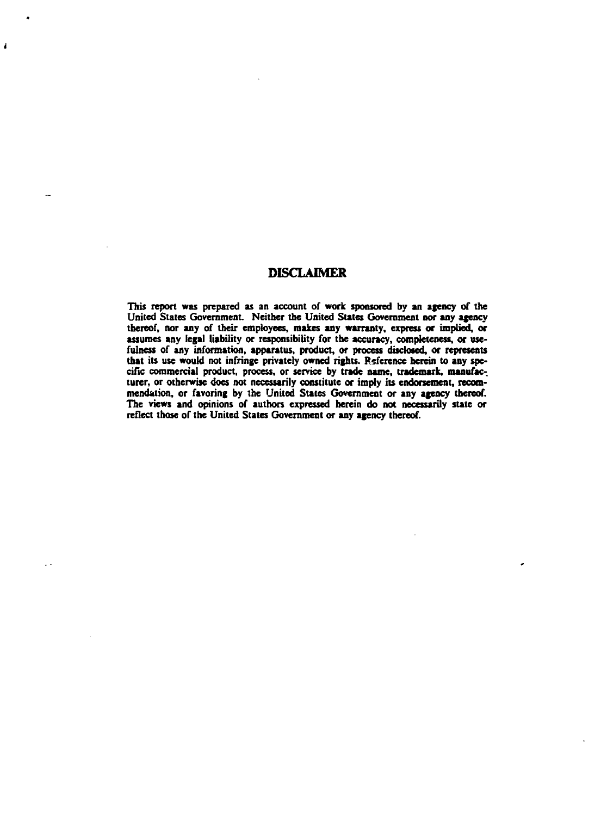# **DISCLAIMER**

 $\overline{1}$ 

**This report was prepared as an account of work sponsored by an agency of the United States Government Neither the United States Government nor any agency thereof, nor any of their employees, makes any warranty, express or implied, or assumes any legal liability or responsibility for the accuracy, completeness, or usefulness of any information, apparatus, product, or process disclosed, or represents that its use would not infringe privately owned rights. Reference herein to any specific commercial product, process, or service by trade name, trademark, manufac-.** turer, or otherwise does not necessarily constitute or imply its endorsement, recom**mendation, or favoring by the United States Government or any agency thereof. The views and opinions of authors expressed herein do not necessarily state or reflect those of the United States Government or any agency thereof.**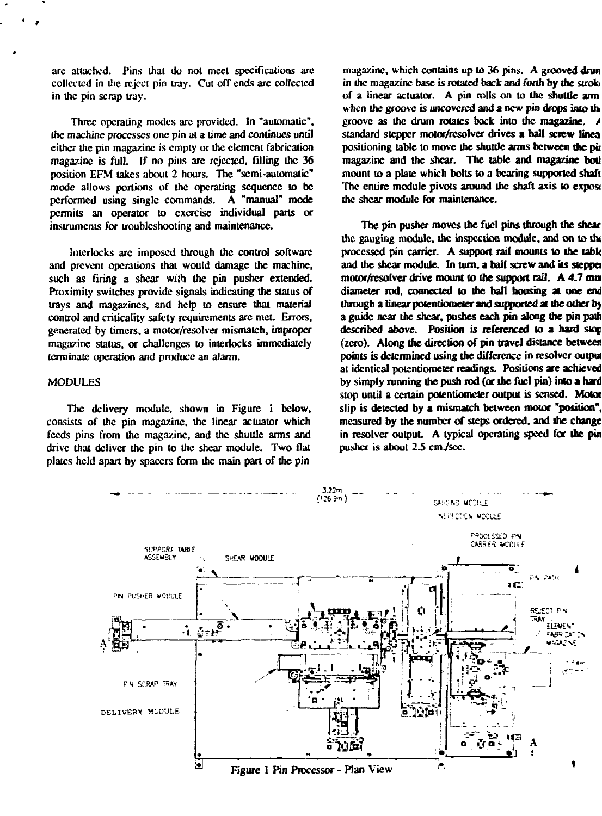**arc attached. Pins that do not meet specifications arc collected in the reject pin tray. Cut off ends are collected in the pin scrap tray.**

**Three operating modes arc provided. In "automatic", the machine processes one pin at a time and continues until cither the pin magazine is empty or the clement fabrication** magazine is full. If no pins are rejected, filling the 36 **position EFM takes about 2 hours. The "semi-automatic" mode allows portions of the operating sequence to be performed using single commands. A "manual" mode permits an operator to exercise individual parts or instruments for troubleshooting and maintenance.**

**Interlocks arc imposed through the control software and prevent operations that would damage the machine, such as firing a shear wish the pin pusher extended. Proximity switches provide signals indicating the status of trays and magazines, and help to ensure that material control and criiicality safety requirements are met. Errors, generated by timers, a motor/resolver mismatch, improper magazine status, or challenges to interlocks immediately terminate operation and produce an alarm.**

# **MODULES**

**The delivery module, shown in Figure i below, consists of the pin magazine, the linear actuator which feeds pins from the magazine, and the shuttle arms and drive that deliver the pin to the shear module. Two flat plates held apart by spacers form the main part of the pin**

**magazine, which contains up to 36 pins. A grooved drun in ihc magazine base is rotated back and forth by the stroki of a linear actuator. A pin rolls on to the shuttle arm** when the groove is uncovered and a new pin drops into the **groove as the drum rotates back into the magazine.** *A* **standard stepper motor/rcsolver drives a ball screw linea positioning table to move the shuttle arms between the pit magazine and the shear. The table and magazine bod mount to a plate which bolts to a bearing supported shaft** The entire module pivots around the shaft axis to expose **the shear module for maintenance.**

**The pin pusher moves the fuel pins through the shear the gauging module, the inspection module, and on to tlx processed pin carrier. A support rail mounts to the labk and the shear module. In turn, a bail screw and its steppa motor/resolver drive mount to the support rail. A 4.7 ran diameter rod, connected lo the bail housing at one end through a linear potentiometer and supported at Ihe other bj a guide near the shear, pushes each pin along the pin path described above. Position is referenced to a hard sior. (zero). Along the direction of pin travel distance between points is determined using the difference in rcsolvcr output at identical potentiometer readings. Positions are achieved by simply running the push rod (or the fuel pin) into a hard stop until a certain potentiometer output is sensed. Motof slip is detected by a mismatch between motor "position", measured by the number of steps ordered, and the change in resolvcr output. A typical operating speed for the pin** pusher is about 2.5 cm./sec.

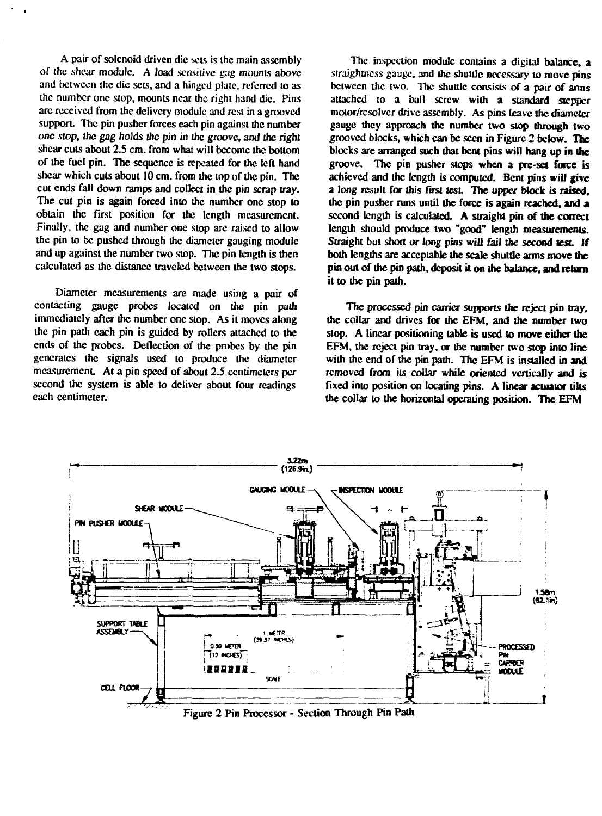A pair of solenoid driven die sets is the main assembly **of the shear module. A load sensitive gag mounts above and between the die sets, and a hinged plate, referred to as the number one stop, mounts near the right hand die. Pins arc received from the delivery module and rest in a grooved** support. The pin pusher forces each pin against the number **one slop, the gag holds the pin in the groove, and the right shear cuts about 2.5 cm. from what will become the bottom of the fuel pin. The sequence is repeated for the left hand shear which cuts about 10 cm. from the top of the pin. The cut ends fall down ramps and collect in the pin scrap tray. The cut pin is again forced into the number one stop to obtain the first position for the length measurement. Finally, the gag and number one stop are raised to allow the pin to** *be* **pushed through the diameter gauging module and up against the number two stop. The pin length is then calculated as the distance traveled between the two stops.**

**Diameter measurements are made using a pair of contacting gauge probes located on the pin path immediately after the number one stop. As it moves along the pin path each pin is guided by rollers attached to the ends of the probes. Deflection of the probes by the pin generates the signals used to produce the diameter measurement. At a pin speed of about 2.5 ceniimelers per second the system is able to deliver about four readings each centimeter.**

**The inspection module contains a digital balance, a siraightness gauge, and ihc shuttle necessary to move pins between the two. The shuttle consists of a pair of arms attached to a ball screw with a standard stepper motor/rcsolvcr drive assembly. As pins leave ihe diameter gauge they approach the number two slop through two grooved blocks, which can be seen in Figure 2 below. The blocks are arranged such that bent pins will hang up in the groove. The pin pusher stops when a prc-sct force is achieved and the length is computed. Bent pins will give a long result for this first test The upper block is raised, the pin pusher runs until the force is again reached, and a second length is calculated. A straight pin of the correct length should produce two "good" length measurements. Straight but short or long pins will fail the second test If both lengths are acceptable the scale shuttle arms move the pin out of the pin path, deposit it on the balance, and return it to the pin path.**

**The processed pin carrier supports the reject pin nay. ihe collar and drives for the EFM, and the number two stop. A linear positioning table is used to move either the EFM, the reject pin tray, or the number two stop into line** with the end of the pin path. The EFM is installed in and **removed from its collar while oriented vertically and is fixed into position on locating pins. A linear actuator tilts the collar to the horizontal operating position. The EFM**



**Figure 2 Pin Processor - Section Through Pin Path**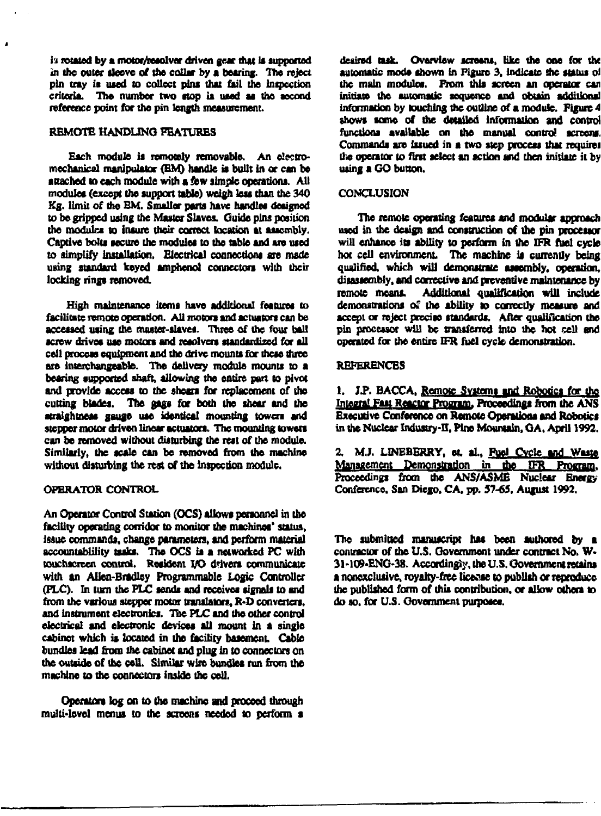**1'i rotated by a motor/resolver driven gear that U supported in the outer ileeve of the collar by a bearing. The reject pin tray it used to collect pins that fail the Intpcction** criteria. The number two stop is used as the second **reference point for the pin length measurement.**

## **REMOTE HANDLING FEATURES**

Each module is remotely removable. An electro**mechanical manipulator (EM) handle ia built in or can be** attached to each module with a few simple operations. All **modules (except the support table) weigh leu than the 340 Kg. limit of the EM. Smaller parts have handles designed to be gripped using the Master Slaves. Guide pins position the module to insure their correct location at asiembly. Captive bolts secure the modules to the table and are used to simplify Installation. Electrical connections are made using standard keyed amphenoi connectors with their locking rings removed.**

**High maintenance items have additional features to facilitate remote operation. All motors and actuators can be accessed using the master-slaves. Three of the four ball** screw drives use motors and resolvers standardized for all **cell process equipment and the drive mounts for incse three are interchangeable. The delivery module mounts to a bearing supported shaft, allowing the entire part to pivot and provide access to the shoes for replacement of tho cutting blades. The gags for both the shear and the atraighlness gauge use identical mounting towers and stepper motor driven linear actuators. The mounting towers can be removed without disturbing the rest of the module. Similarly, the scale can be removed from the machine without disturbing the Test of the inspection module.**

### **OPERATOR CONTROL**

**An Operator Control Station (OCS) allows personnel in the facility operating corridor to monitor the machines' status, Issue commands, change parameters, and perform material accountability tasks. The OCS ia a networked PC with touchscreen control. Resident VO drivers communicate with an Allen-Bradley Programmable Logic Controller (PLC). In turn the PLC sends and receives signals to and from the various stepper motor translators, R-D converters, and instrument electronics. Tae PLC and the other control electrical and electronic devices all mount in a single cabinet which ia located in the facility basement. Cable bundles lead from lhe cabinet and plug in to connectors on the outside of the cell. Similar wire bundles run from the machine to the connectors inside the cell.**

**Operators log on to the machine and proceed through multi-level menus to the screens needed to perform a**

**desired task. Overview screaos, like the one for the** automatic mode shown in Figure 3, indicate she status of **the main modules. From this screen an operator can initiate the automatic sequence and obtain additional information by touching the outline of a module. Figure 4 shows some of the detailed information and control functions available on the manual control screens. Commands are issued in a two step process that require! the operator to first select an action and then initiate it by using a GO button.**

### **CONCLUSION**

**The remote operating features and modular approach used in the design and construction of the pin processor will enhance its ability to perform in the IFR fuel cycle hot cell environment. The machine ii currently being qualified, which will demonstrate assembly, operation, disassembly, and corrective and preventive maintenance by remote means. Additional qualification will include demonstrations of the ability to correctly measure and accept or reject precise standards. After qualification the pin processor will be transferred into ihc hot cell and operated for the entire IFR fuel cycle demonstration.**

## **REFERENCES**

**1. JJ>. BACCA, Remote Systems and Robotics for tho** Integral Fast Reactor Program, Proceedings from the ANS **Executive Conference on Remote Operations and Robotics** in the Nuclear Industry-II, Pine Mountain, GA, April 1992.

**2. M.J. LINEBBRRY, et. al., Fuel Cvcle and Waste Management Demonstration in the IFR Proqrajn. Proceedings from the ANS/ASME Nuclear Bnergy Confercnce. San Diego, CA. pp. 57-65, August 1992.**

**The submitted manuscript has been authored by a contractor of the U.S. Government under contract No. W-3M09-ENG-38. Accordingly, the U.S. Government reams a nonexclusive, royairy-fttc license 10 publish or reproduce the published form of this contribution, or allow others to do so, for U.S. Government purposes.**